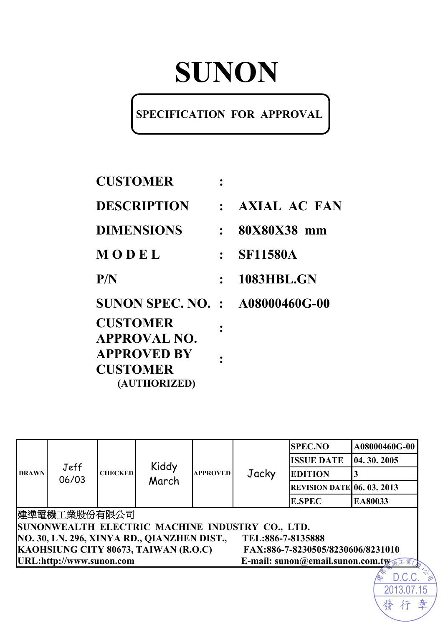# **SUNON**

## **SPECIFICATION FOR APPROVAL**

| <b>CUSTOMER</b>                        |           |                     |
|----------------------------------------|-----------|---------------------|
| <b>DESCRIPTION</b>                     |           | <b>AXIAL AC FAN</b> |
| <b>DIMENSIONS</b>                      | $\cdot$ . | 80X80X38 mm         |
| MODEL                                  |           | <b>SF11580A</b>     |
| P/N                                    | $\cdot$ . | <b>1083HBL.GN</b>   |
| <b>SUNON SPEC. NO. : A08000460G-00</b> |           |                     |
| <b>CUSTOMER</b><br><b>APPROVAL NO.</b> |           |                     |
| <b>APPROVED BY</b>                     |           |                     |
| <b>CUSTOMER</b>                        |           |                     |
| (AUTHORIZED)                           |           |                     |

| <b>DRAWN</b> | Jeff<br>06/03                                                             |                |                                             |                 |                                                 | <b>SPEC.NO</b>                    | A08000460G-00 |  |
|--------------|---------------------------------------------------------------------------|----------------|---------------------------------------------|-----------------|-------------------------------------------------|-----------------------------------|---------------|--|
|              |                                                                           |                | Kiddy<br>March                              |                 |                                                 | <b>ISSUE DATE</b>                 | 04.30.2005    |  |
|              |                                                                           | <b>CHECKED</b> |                                             | <b>APPROVED</b> | Jacky                                           | <b>EDITION</b>                    |               |  |
|              |                                                                           |                |                                             |                 |                                                 | <b>REVISION DATE 06. 03. 2013</b> |               |  |
|              |                                                                           |                |                                             |                 |                                                 | <b>E.SPEC</b>                     | EA80033       |  |
|              | 建準電機工業股份有限公司                                                              |                |                                             |                 |                                                 |                                   |               |  |
|              |                                                                           |                |                                             |                 | SUNONWEALTH ELECTRIC MACHINE INDUSTRY CO., LTD. |                                   |               |  |
|              |                                                                           |                | NO. 30, LN. 296, XINYA RD., QIANZHEN DIST., |                 | TEL:886-7-8135888                               |                                   |               |  |
|              | KAOHSIUNG CITY 80673, TAIWAN (R.O.C)<br>FAX:886-7-8230505/8230606/8231010 |                |                                             |                 |                                                 |                                   |               |  |
|              | URL:http://www.sunon.com<br>E-mail: sunon@email.sunon.com.tw              |                |                                             |                 |                                                 |                                   |               |  |
|              |                                                                           |                |                                             |                 |                                                 |                                   |               |  |

2013.07.15

行

發

章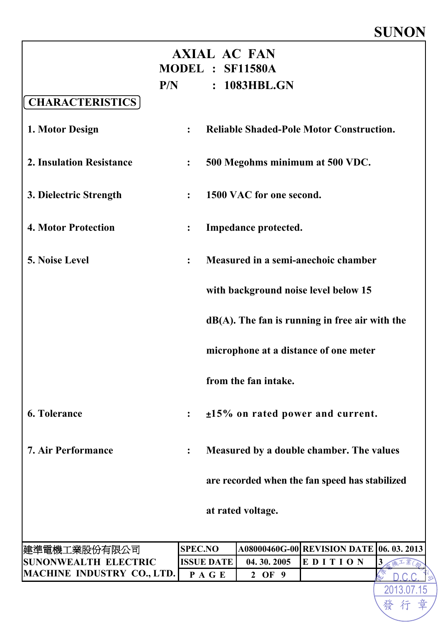## **SUNON**

2013.07.15

發行

章

| <b>AXIAL AC FAN</b><br>MODEL : SF11580A<br>: 1083HBL.GN<br>P/N |                  |                                     |                          |                                                   |                |  |  |
|----------------------------------------------------------------|------------------|-------------------------------------|--------------------------|---------------------------------------------------|----------------|--|--|
| <b>CHARACTERISTICS</b>                                         |                  |                                     |                          |                                                   |                |  |  |
| 1. Motor Design                                                | $\ddot{\cdot}$   |                                     |                          | <b>Reliable Shaded-Pole Motor Construction.</b>   |                |  |  |
| <b>2. Insulation Resistance</b>                                | $\ddot{\cdot}$   |                                     |                          | 500 Megohms minimum at 500 VDC.                   |                |  |  |
| 3. Dielectric Strength                                         | $\ddot{\cdot}$   |                                     | 1500 VAC for one second. |                                                   |                |  |  |
| <b>4. Motor Protection</b>                                     | $\ddot{\bullet}$ |                                     | Impedance protected.     |                                                   |                |  |  |
| 5. Noise Level                                                 | $\ddot{\cdot}$   | Measured in a semi-anechoic chamber |                          |                                                   |                |  |  |
|                                                                |                  |                                     |                          | with background noise level below 15              |                |  |  |
|                                                                |                  |                                     |                          | $dB(A)$ . The fan is running in free air with the |                |  |  |
|                                                                |                  |                                     |                          | microphone at a distance of one meter             |                |  |  |
|                                                                |                  |                                     | from the fan intake.     |                                                   |                |  |  |
| <b>6. Tolerance</b>                                            | $\ddot{\bullet}$ |                                     |                          | $±15\%$ on rated power and current.               |                |  |  |
| <b>7. Air Performance</b>                                      | $\ddot{\cdot}$   |                                     |                          | Measured by a double chamber. The values          |                |  |  |
|                                                                |                  |                                     |                          | are recorded when the fan speed has stabilized    |                |  |  |
|                                                                |                  |                                     | at rated voltage.        |                                                   |                |  |  |
| 建準電機工業股份有限公司                                                   | <b>SPEC.NO</b>   |                                     |                          | A08000460G-00 REVISION DATE 06. 03. 2013          |                |  |  |
| <b>SUNONWEALTH ELECTRIC</b>                                    |                  | <b>ISSUE DATE</b>                   | 04.30.2005               | EDITION                                           | 3 <sub>l</sub> |  |  |
| MACHINE INDUSTRY CO., LTD.                                     |                  | PAGE                                | 2 OF 9                   |                                                   |                |  |  |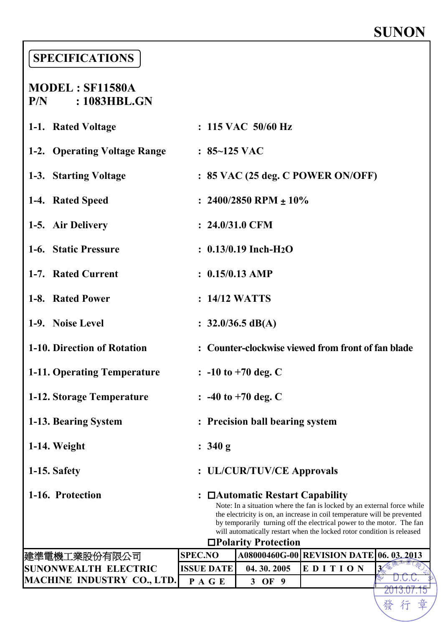## **SUNON**

2013.07.15

發行

章

### **SPECIFICATIONS**

#### **MODEL : SF11580A P/N : 1083HBL.GN**

| 1-1. Rated Voltage                 |                                                                                                                                                                                                                                                                                                                                                                  | : 115 VAC 50/60 Hz                  |                                                    |            |  |  |  |
|------------------------------------|------------------------------------------------------------------------------------------------------------------------------------------------------------------------------------------------------------------------------------------------------------------------------------------------------------------------------------------------------------------|-------------------------------------|----------------------------------------------------|------------|--|--|--|
| 1-2. Operating Voltage Range       | $: 85 - 125$ VAC                                                                                                                                                                                                                                                                                                                                                 |                                     |                                                    |            |  |  |  |
| 1-3. Starting Voltage              |                                                                                                                                                                                                                                                                                                                                                                  |                                     | : 85 VAC (25 deg. C POWER ON/OFF)                  |            |  |  |  |
| 1-4. Rated Speed                   |                                                                                                                                                                                                                                                                                                                                                                  | : $2400/2850$ RPM $\pm 10\%$        |                                                    |            |  |  |  |
| 1-5. Air Delivery                  | $: 24.0/31.0$ CFM                                                                                                                                                                                                                                                                                                                                                |                                     |                                                    |            |  |  |  |
| 1-6. Static Pressure               |                                                                                                                                                                                                                                                                                                                                                                  | $: 0.13/0.19$ Inch-H <sub>2</sub> O |                                                    |            |  |  |  |
| 1-7. Rated Current                 | $: 0.15/0.13$ AMP                                                                                                                                                                                                                                                                                                                                                |                                     |                                                    |            |  |  |  |
| 1-8. Rated Power                   | : 14/12 WATTS                                                                                                                                                                                                                                                                                                                                                    |                                     |                                                    |            |  |  |  |
| 1-9. Noise Level                   |                                                                                                                                                                                                                                                                                                                                                                  | : $32.0/36.5 \text{ dB}(A)$         |                                                    |            |  |  |  |
| 1-10. Direction of Rotation        |                                                                                                                                                                                                                                                                                                                                                                  |                                     | : Counter-clockwise viewed from front of fan blade |            |  |  |  |
| <b>1-11. Operating Temperature</b> |                                                                                                                                                                                                                                                                                                                                                                  | $\therefore$ -10 to +70 deg. C      |                                                    |            |  |  |  |
| 1-12. Storage Temperature          |                                                                                                                                                                                                                                                                                                                                                                  | $\therefore$ -40 to +70 deg. C      |                                                    |            |  |  |  |
| 1-13. Bearing System               |                                                                                                                                                                                                                                                                                                                                                                  | : Precision ball bearing system     |                                                    |            |  |  |  |
| 1-14. Weight                       | : 340 g                                                                                                                                                                                                                                                                                                                                                          |                                     |                                                    |            |  |  |  |
| 1-15. Safety                       |                                                                                                                                                                                                                                                                                                                                                                  | : UL/CUR/TUV/CE Approvals           |                                                    |            |  |  |  |
| 1-16. Protection                   | □ Automatic Restart Capability<br>Note: In a situation where the fan is locked by an external force while<br>the electricity is on, an increase in coil temperature will be prevented<br>by temporarily turning off the electrical power to the motor. The fan<br>will automatically restart when the locked rotor condition is released<br>□Polarity Protection |                                     |                                                    |            |  |  |  |
| 建準電機工業股份有限公司                       | <b>SPEC.NO</b>                                                                                                                                                                                                                                                                                                                                                   |                                     | A08000460G-00 REVISION DATE                        | 06.03.2013 |  |  |  |
| SUNONWEALTH ELECTRIC               | <b>ISSUE DATE</b>                                                                                                                                                                                                                                                                                                                                                | 04.30.2005                          | EDITION                                            | 3          |  |  |  |
| <b>MACHINE INDUSTRY CO., LTD.</b>  | PAGE                                                                                                                                                                                                                                                                                                                                                             | 3 OF 9                              |                                                    |            |  |  |  |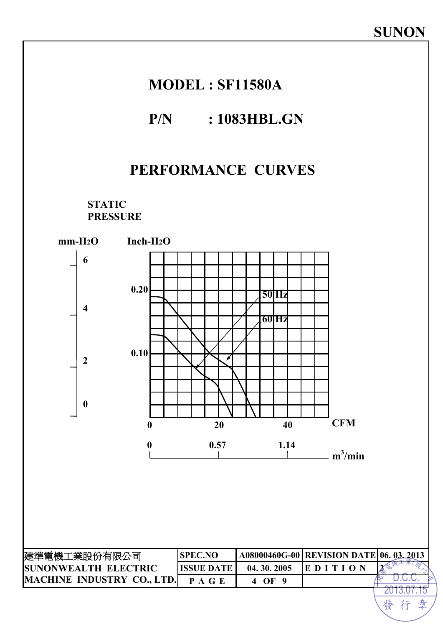## **MODEL : SF11580A**

#### **P/N : 1083HBL.GN**

## **PERFORMANCE CURVES**

**STATIC PRESSURE** 

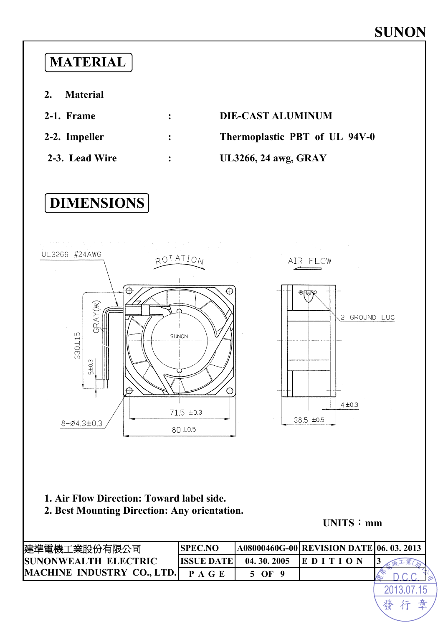## **MATERIAL**

**2. Material** 

| 2-1. Frame     | $\ddot{\cdot}$ | <b>DIE-CAST ALUMINUM</b>      |
|----------------|----------------|-------------------------------|
| 2-2. Impeller  | $\mathbf{L}$   | Thermoplastic PBT of UL 94V-0 |
| 2-3. Lead Wire | $\ddot{\cdot}$ | <b>UL3266, 24 awg, GRAY</b>   |

## **DIMENSIONS**



#### **1. Air Flow Direction: Toward label side.**

**2. Best Mounting Direction: Any orientation.**

**UNITS**:**mm**

| 健準電機工業股份有限公司                 | <b>SPEC.NO</b>    |            | <b>A08000460G-00 REVISION DATE 06. 03. 2013</b> |  |
|------------------------------|-------------------|------------|-------------------------------------------------|--|
| <b>ISUNONWEALTH ELECTRIC</b> | <b>ISSUE DATE</b> | 04.30.2005 |                                                 |  |
| MACHINE INDUSTRY CO., LTD.   | <b>PAGE</b>       | OF         |                                                 |  |
|                              |                   |            |                                                 |  |
|                              |                   |            |                                                 |  |

發行章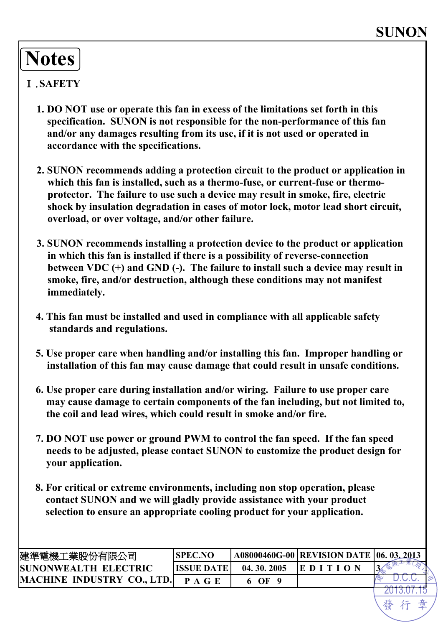## **Notes**

#### Ⅰ.**SAFETY**

- **1. DO NOT use or operate this fan in excess of the limitations set forth in this specification. SUNON is not responsible for the non-performance of this fan and/or any damages resulting from its use, if it is not used or operated in accordance with the specifications.**
- **2. SUNON recommends adding a protection circuit to the product or application in which this fan is installed, such as a thermo-fuse, or current-fuse or thermoprotector. The failure to use such a device may result in smoke, fire, electric shock by insulation degradation in cases of motor lock, motor lead short circuit, overload, or over voltage, and/or other failure.**
- **3. SUNON recommends installing a protection device to the product or application in which this fan is installed if there is a possibility of reverse-connection between VDC (+) and GND (-). The failure to install such a device may result in smoke, fire, and/or destruction, although these conditions may not manifest immediately.**
- **4. This fan must be installed and used in compliance with all applicable safety standards and regulations.**
- **5. Use proper care when handling and/or installing this fan. Improper handling or installation of this fan may cause damage that could result in unsafe conditions.**
- **6. Use proper care during installation and/or wiring. Failure to use proper care may cause damage to certain components of the fan including, but not limited to, the coil and lead wires, which could result in smoke and/or fire.**
- **7. DO NOT use power or ground PWM to control the fan speed. If the fan speed needs to be adjusted, please contact SUNON to customize the product design for your application.**
- **8. For critical or extreme environments, including non stop operation, please contact SUNON and we will gladly provide assistance with your product selection to ensure an appropriate cooling product for your application.**

| 建準電機工業股份有限公司                 | <b>SPEC.NO</b>    |            | A08000460G-00 REVISION DATE 06. 03.2013 |  |
|------------------------------|-------------------|------------|-----------------------------------------|--|
| <b>ISUNONWEALTH ELECTRIC</b> | <b>HSSUE DATE</b> | 04.30.2005 | IE D I                                  |  |
| MACHINE INDUSTRY CO., LTD.   |                   | OF         |                                         |  |
|                              |                   |            |                                         |  |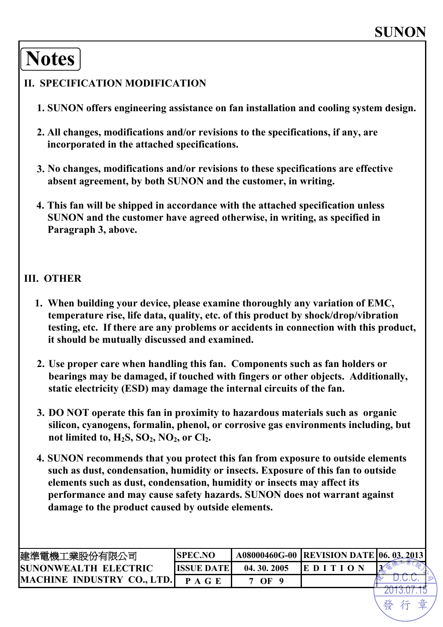## **Notes**

#### **II. SPECIFICATION MODIFICATION**

- **1. SUNON offers engineering assistance on fan installation and cooling system design.**
- **2. All changes, modifications and/or revisions to the specifications, if any, are incorporated in the attached specifications.**
- **3. No changes, modifications and/or revisions to these specifications are effective absent agreement, by both SUNON and the customer, in writing.**
- **4. This fan will be shipped in accordance with the attached specification unless SUNON and the customer have agreed otherwise, in writing, as specified in Paragraph 3, above.**

#### **III. OTHER**

- **1. When building your device, please examine thoroughly any variation of EMC, temperature rise, life data, quality, etc. of this product by shock/drop/vibration testing, etc. If there are any problems or accidents in connection with this product, it should be mutually discussed and examined.**
- **2. Use proper care when handling this fan. Components such as fan holders or bearings may be damaged, if touched with fingers or other objects. Additionally, static electricity (ESD) may damage the internal circuits of the fan.**
- **3. DO NOT operate this fan in proximity to hazardous materials such as organic silicon, cyanogens, formalin, phenol, or corrosive gas environments including, but**  not limited to, H<sub>2</sub>S, SO<sub>2</sub>, NO<sub>2</sub>, or Cl<sub>2</sub>.
- **4. SUNON recommends that you protect this fan from exposure to outside elements such as dust, condensation, humidity or insects. Exposure of this fan to outside elements such as dust, condensation, humidity or insects may affect its performance and may cause safety hazards. SUNON does not warrant against damage to the product caused by outside elements.**

| 建準電機工業股份有限公司                      | <b>SPEC.NO</b> |            | A08000460G-00  REVISION DATE   06. 03. 2013 |  |
|-----------------------------------|----------------|------------|---------------------------------------------|--|
| <b>ISUNONWEALTH ELECTRIC</b>      | ISSUE DATE     | 04.30.2005 | ED I                                        |  |
| <b>MACHINE INDUSTRY CO., LTD.</b> |                | OF         |                                             |  |
|                                   |                |            |                                             |  |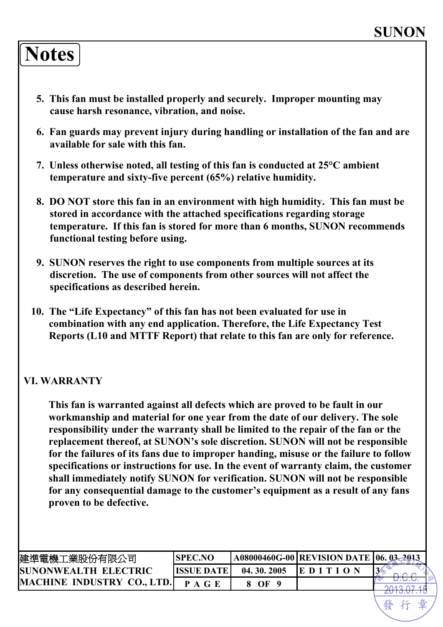## **Notes**

- **5. This fan must be installed properly and securely. Improper mounting may cause harsh resonance, vibration, and noise.**
- **6. Fan guards may prevent injury during handling or installation of the fan and are available for sale with this fan.**
- **7. Unless otherwise noted, all testing of this fan is conducted at 25°C ambient temperature and sixty-five percent (65%) relative humidity.**
- **8. DO NOT store this fan in an environment with high humidity. This fan must be stored in accordance with the attached specifications regarding storage temperature. If this fan is stored for more than 6 months, SUNON recommends functional testing before using.**
- **9. SUNON reserves the right to use components from multiple sources at its discretion. The use of components from other sources will not affect the specifications as described herein.**
- **10. The "Life Expectancy" of this fan has not been evaluated for use in combination with any end application. Therefore, the Life Expectancy Test Reports (L10 and MTTF Report) that relate to this fan are only for reference.**

#### **VI. WARRANTY**

**This fan is warranted against all defects which are proved to be fault in our workmanship and material for one year from the date of our delivery. The sole responsibility under the warranty shall be limited to the repair of the fan or the replacement thereof, at SUNON's sole discretion. SUNON will not be responsible for the failures of its fans due to improper handing, misuse or the failure to follow specifications or instructions for use. In the event of warranty claim, the customer shall immediately notify SUNON for verification. SUNON will not be responsible for any consequential damage to the customer's equipment as a result of any fans proven to be defective.**

| 建準電機工業股份有限公司                      | <b>SPEC.NO</b> |            | <b>A08000460G-00 REVISION DATE 06.</b> |  |
|-----------------------------------|----------------|------------|----------------------------------------|--|
| SUNONWEALTH ELECTRIC              | IISSHE DATE    | 04.30.2005 | IE D I                                 |  |
| <b>MACHINE INDUSTRY CO., LTD.</b> |                | OF         |                                        |  |
|                                   |                |            |                                        |  |